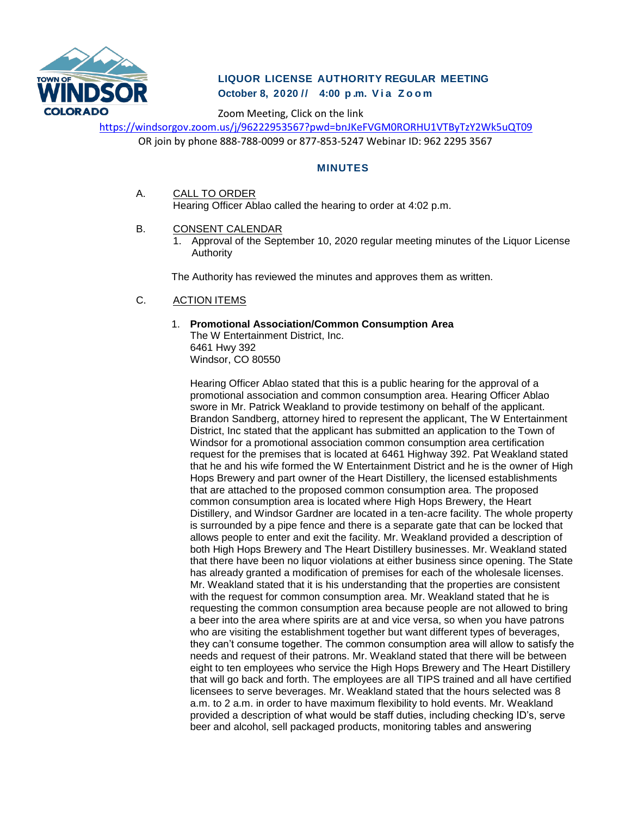

# **LIQUOR LICENSE AUTHORITY REGULAR MEETING October 8, 2020 // 4:00 p . m. V i a Z o o m**

Zoom Meeting, Click on the link

<https://windsorgov.zoom.us/j/96222953567?pwd=bnJKeFVGM0RORHU1VTByTzY2Wk5uQT09>

OR join by phone 888-788-0099 or 877-853-5247 Webinar ID: 962 2295 3567

# **MINUTES**

- A. CALL TO ORDER Hearing Officer Ablao called the hearing to order at 4:02 p.m.
- B. CONSENT CALENDAR
	- 1. Approval of the September 10, 2020 regular meeting minutes of the Liquor License Authority

The Authority has reviewed the minutes and approves them as written.

## C. ACTION ITEMS

#### 1. **Promotional Association/Common Consumption Area** The W Entertainment District, Inc. 6461 Hwy 392 Windsor, CO 80550

Hearing Officer Ablao stated that this is a public hearing for the approval of a promotional association and common consumption area. Hearing Officer Ablao swore in Mr. Patrick Weakland to provide testimony on behalf of the applicant. Brandon Sandberg, attorney hired to represent the applicant, The W Entertainment District, Inc stated that the applicant has submitted an application to the Town of Windsor for a promotional association common consumption area certification request for the premises that is located at 6461 Highway 392. Pat Weakland stated that he and his wife formed the W Entertainment District and he is the owner of High Hops Brewery and part owner of the Heart Distillery, the licensed establishments that are attached to the proposed common consumption area. The proposed common consumption area is located where High Hops Brewery, the Heart Distillery, and Windsor Gardner are located in a ten-acre facility. The whole property is surrounded by a pipe fence and there is a separate gate that can be locked that allows people to enter and exit the facility. Mr. Weakland provided a description of both High Hops Brewery and The Heart Distillery businesses. Mr. Weakland stated that there have been no liquor violations at either business since opening. The State has already granted a modification of premises for each of the wholesale licenses. Mr. Weakland stated that it is his understanding that the properties are consistent with the request for common consumption area. Mr. Weakland stated that he is requesting the common consumption area because people are not allowed to bring a beer into the area where spirits are at and vice versa, so when you have patrons who are visiting the establishment together but want different types of beverages, they can't consume together. The common consumption area will allow to satisfy the needs and request of their patrons. Mr. Weakland stated that there will be between eight to ten employees who service the High Hops Brewery and The Heart Distillery that will go back and forth. The employees are all TIPS trained and all have certified licensees to serve beverages. Mr. Weakland stated that the hours selected was 8 a.m. to 2 a.m. in order to have maximum flexibility to hold events. Mr. Weakland provided a description of what would be staff duties, including checking ID's, serve beer and alcohol, sell packaged products, monitoring tables and answering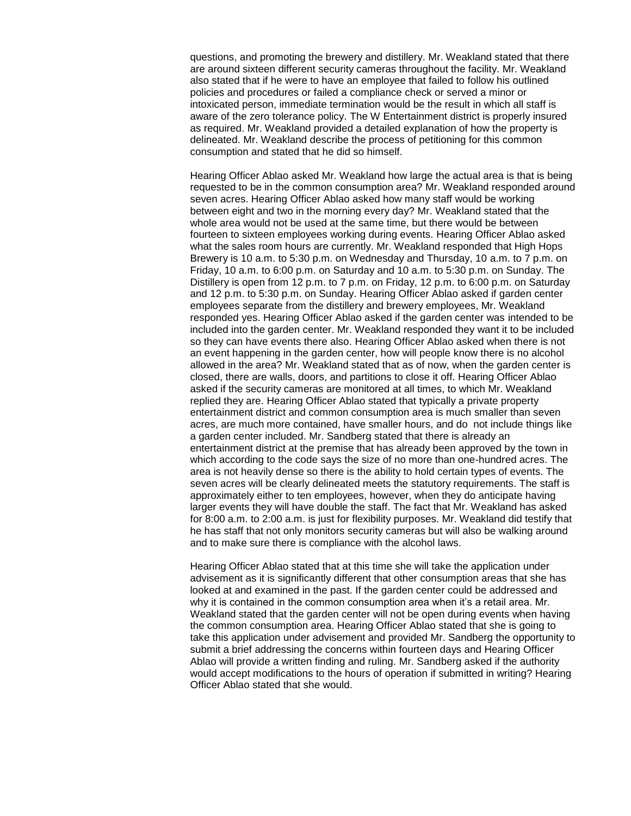questions, and promoting the brewery and distillery. Mr. Weakland stated that there are around sixteen different security cameras throughout the facility. Mr. Weakland also stated that if he were to have an employee that failed to follow his outlined policies and procedures or failed a compliance check or served a minor or intoxicated person, immediate termination would be the result in which all staff is aware of the zero tolerance policy. The W Entertainment district is properly insured as required. Mr. Weakland provided a detailed explanation of how the property is delineated. Mr. Weakland describe the process of petitioning for this common consumption and stated that he did so himself.

Hearing Officer Ablao asked Mr. Weakland how large the actual area is that is being requested to be in the common consumption area? Mr. Weakland responded around seven acres. Hearing Officer Ablao asked how many staff would be working between eight and two in the morning every day? Mr. Weakland stated that the whole area would not be used at the same time, but there would be between fourteen to sixteen employees working during events. Hearing Officer Ablao asked what the sales room hours are currently. Mr. Weakland responded that High Hops Brewery is 10 a.m. to 5:30 p.m. on Wednesday and Thursday, 10 a.m. to 7 p.m. on Friday, 10 a.m. to 6:00 p.m. on Saturday and 10 a.m. to 5:30 p.m. on Sunday. The Distillery is open from 12 p.m. to 7 p.m. on Friday, 12 p.m. to 6:00 p.m. on Saturday and 12 p.m. to 5:30 p.m. on Sunday. Hearing Officer Ablao asked if garden center employees separate from the distillery and brewery employees, Mr. Weakland responded yes. Hearing Officer Ablao asked if the garden center was intended to be included into the garden center. Mr. Weakland responded they want it to be included so they can have events there also. Hearing Officer Ablao asked when there is not an event happening in the garden center, how will people know there is no alcohol allowed in the area? Mr. Weakland stated that as of now, when the garden center is closed, there are walls, doors, and partitions to close it off. Hearing Officer Ablao asked if the security cameras are monitored at all times, to which Mr. Weakland replied they are. Hearing Officer Ablao stated that typically a private property entertainment district and common consumption area is much smaller than seven acres, are much more contained, have smaller hours, and do not include things like a garden center included. Mr. Sandberg stated that there is already an entertainment district at the premise that has already been approved by the town in which according to the code says the size of no more than one-hundred acres. The area is not heavily dense so there is the ability to hold certain types of events. The seven acres will be clearly delineated meets the statutory requirements. The staff is approximately either to ten employees, however, when they do anticipate having larger events they will have double the staff. The fact that Mr. Weakland has asked for 8:00 a.m. to 2:00 a.m. is just for flexibility purposes. Mr. Weakland did testify that he has staff that not only monitors security cameras but will also be walking around and to make sure there is compliance with the alcohol laws.

Hearing Officer Ablao stated that at this time she will take the application under advisement as it is significantly different that other consumption areas that she has looked at and examined in the past. If the garden center could be addressed and why it is contained in the common consumption area when it's a retail area. Mr. Weakland stated that the garden center will not be open during events when having the common consumption area. Hearing Officer Ablao stated that she is going to take this application under advisement and provided Mr. Sandberg the opportunity to submit a brief addressing the concerns within fourteen days and Hearing Officer Ablao will provide a written finding and ruling. Mr. Sandberg asked if the authority would accept modifications to the hours of operation if submitted in writing? Hearing Officer Ablao stated that she would.